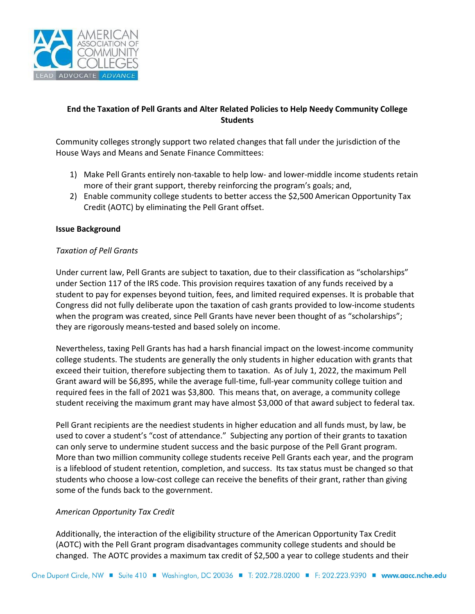

# **End the Taxation of Pell Grants and Alter Related Policies to Help Needy Community College Students**

Community colleges strongly support two related changes that fall under the jurisdiction of the House Ways and Means and Senate Finance Committees:

- 1) Make Pell Grants entirely non-taxable to help low- and lower-middle income students retain more of their grant support, thereby reinforcing the program's goals; and,
- 2) Enable community college students to better access the \$2,500 American Opportunity Tax Credit (AOTC) by eliminating the Pell Grant offset.

## **Issue Background**

## *Taxation of Pell Grants*

Under current law, Pell Grants are subject to taxation, due to their classification as "scholarships" under Section 117 of the IRS code. This provision requires taxation of any funds received by a student to pay for expenses beyond tuition, fees, and limited required expenses. It is probable that Congress did not fully deliberate upon the taxation of cash grants provided to low-income students when the program was created, since Pell Grants have never been thought of as "scholarships"; they are rigorously means-tested and based solely on income.

Nevertheless, taxing Pell Grants has had a harsh financial impact on the lowest-income community college students. The students are generally the only students in higher education with grants that exceed their tuition, therefore subjecting them to taxation. As of July 1, 2022, the maximum Pell Grant award will be \$6,895, while the average full-time, full-year community college tuition and required fees in the fall of 2021 was \$3,800. This means that, on average, a community college student receiving the maximum grant may have almost \$3,000 of that award subject to federal tax.

Pell Grant recipients are the neediest students in higher education and all funds must, by law, be used to cover a student's "cost of attendance." Subjecting any portion of their grants to taxation can only serve to undermine student success and the basic purpose of the Pell Grant program. More than two million community college students receive Pell Grants each year, and the program is a lifeblood of student retention, completion, and success. Its tax status must be changed so that students who choose a low-cost college can receive the benefits of their grant, rather than giving some of the funds back to the government.

## *American Opportunity Tax Credit*

Additionally, the interaction of the eligibility structure of the American Opportunity Tax Credit (AOTC) with the Pell Grant program disadvantages community college students and should be changed. The AOTC provides a maximum tax credit of \$2,500 a year to college students and their